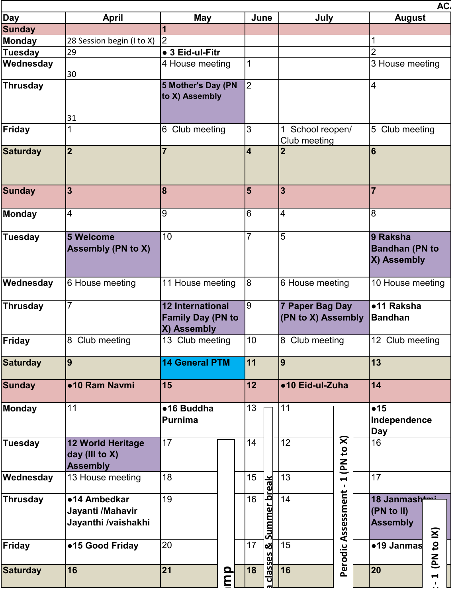| June<br><b>Sunday</b><br> 2 <br>28 Session begin (I to X)<br>$\overline{2}$<br>29<br>• 3 Eid-ul-Fitr<br>3 House meeting<br>4 House meeting<br>30<br>$\overline{2}$<br>5 Mother's Day (PN<br>4<br>to X) Assembly<br>31<br>$\overline{3}$<br>5 Club meeting<br>6<br>Club meeting<br>School reopen/<br>Club meeting<br> 2 <br>6<br>$\overline{7}$<br>$\overline{\mathbf{4}}$<br> 3 <br>$5\overline{5}$<br>$\overline{3}$<br>$\overline{7}$<br> 8 <br>6<br>8<br>4<br>9<br>$\overline{4}$<br>10<br>$\overline{7}$<br>5<br>5 Welcome<br>9 Raksha<br><b>Bandhan (PN to</b><br><b>Assembly (PN to X)</b><br>X) Assembly<br>8<br>6 House meeting<br>11 House meeting<br>6 House meeting<br>$\overline{7}$<br>$\overline{9}$<br><b>12 International</b><br>7 Paper Bag Day<br>•11 Raksha<br><b>Family Day (PN to</b><br>(PN to X) Assembly<br><b>Bandhan</b><br>X) Assembly<br>8 Club meeting<br>10<br>13 Club meeting<br>8 Club meeting<br>12 Club meeting<br>9<br>$\boxed{11}$<br>$\overline{9}$<br>13<br><b>14 General PTM</b><br> 12 <br>14<br>•10 Ram Navmi<br>15<br>●10 Eid-ul-Zuha<br>11<br>13<br>11<br>•15<br>•16 Buddha<br>Independence<br>Purnima<br><b>Day</b><br>$\mathbf{\widehat{x}}$<br>17<br>12<br>16<br>14<br>12 World Heritage<br>$\mathbf{c}$<br>day (III to $X$ )<br>$\mathbf{z}$<br><b>Assembly</b><br>15<br>13<br>18<br>17<br>13 House meeting<br><u>Summer break</u><br>H<br>$\mathbf{I}$<br>Assessment<br>19<br>16<br>14<br>•14 Ambedkar<br>18 Janmash<br>Jayanti /Mahavir<br>(PN to II)<br>Jayanthi /vaishakhi<br><b>Assembly</b><br>$\tilde{\mathbf{x}}$<br>$\mathbf{c}$<br>20<br>17<br>15<br>•19 Janmas<br>●15 Good Friday<br>∣୪ା<br>Perodic<br><b>Sasses</b><br><b>PN</b><br> 21<br>16<br>16<br>20<br>18<br>mp<br>$\blacktriangleright$<br>히<br>$\blacksquare$ | <b>Day</b>    | <b>April</b> | May |  |  |  | July |  | AC <sub>I</sub><br><b>August</b> |  |  |  |
|----------------------------------------------------------------------------------------------------------------------------------------------------------------------------------------------------------------------------------------------------------------------------------------------------------------------------------------------------------------------------------------------------------------------------------------------------------------------------------------------------------------------------------------------------------------------------------------------------------------------------------------------------------------------------------------------------------------------------------------------------------------------------------------------------------------------------------------------------------------------------------------------------------------------------------------------------------------------------------------------------------------------------------------------------------------------------------------------------------------------------------------------------------------------------------------------------------------------------------------------------------------------------------------------------------------------------------------------------------------------------------------------------------------------------------------------------------------------------------------------------------------------------------------------------------------------------------------------------------------------------------------------------------------------------------------------------------------------------------------------------------------------------------|---------------|--------------|-----|--|--|--|------|--|----------------------------------|--|--|--|
| <b>Monday</b><br><b>Tuesday</b><br><b>Saturday</b><br><b>Sunday</b><br>10 House meeting<br><b>Saturday</b><br><b>Tuesday</b><br><b>Saturday</b>                                                                                                                                                                                                                                                                                                                                                                                                                                                                                                                                                                                                                                                                                                                                                                                                                                                                                                                                                                                                                                                                                                                                                                                                                                                                                                                                                                                                                                                                                                                                                                                                                                  |               |              |     |  |  |  |      |  |                                  |  |  |  |
|                                                                                                                                                                                                                                                                                                                                                                                                                                                                                                                                                                                                                                                                                                                                                                                                                                                                                                                                                                                                                                                                                                                                                                                                                                                                                                                                                                                                                                                                                                                                                                                                                                                                                                                                                                                  |               |              |     |  |  |  |      |  |                                  |  |  |  |
|                                                                                                                                                                                                                                                                                                                                                                                                                                                                                                                                                                                                                                                                                                                                                                                                                                                                                                                                                                                                                                                                                                                                                                                                                                                                                                                                                                                                                                                                                                                                                                                                                                                                                                                                                                                  |               |              |     |  |  |  |      |  |                                  |  |  |  |
|                                                                                                                                                                                                                                                                                                                                                                                                                                                                                                                                                                                                                                                                                                                                                                                                                                                                                                                                                                                                                                                                                                                                                                                                                                                                                                                                                                                                                                                                                                                                                                                                                                                                                                                                                                                  | Wednesday     |              |     |  |  |  |      |  |                                  |  |  |  |
|                                                                                                                                                                                                                                                                                                                                                                                                                                                                                                                                                                                                                                                                                                                                                                                                                                                                                                                                                                                                                                                                                                                                                                                                                                                                                                                                                                                                                                                                                                                                                                                                                                                                                                                                                                                  | Thrusday      |              |     |  |  |  |      |  |                                  |  |  |  |
|                                                                                                                                                                                                                                                                                                                                                                                                                                                                                                                                                                                                                                                                                                                                                                                                                                                                                                                                                                                                                                                                                                                                                                                                                                                                                                                                                                                                                                                                                                                                                                                                                                                                                                                                                                                  | Friday        |              |     |  |  |  |      |  |                                  |  |  |  |
|                                                                                                                                                                                                                                                                                                                                                                                                                                                                                                                                                                                                                                                                                                                                                                                                                                                                                                                                                                                                                                                                                                                                                                                                                                                                                                                                                                                                                                                                                                                                                                                                                                                                                                                                                                                  |               |              |     |  |  |  |      |  |                                  |  |  |  |
|                                                                                                                                                                                                                                                                                                                                                                                                                                                                                                                                                                                                                                                                                                                                                                                                                                                                                                                                                                                                                                                                                                                                                                                                                                                                                                                                                                                                                                                                                                                                                                                                                                                                                                                                                                                  |               |              |     |  |  |  |      |  |                                  |  |  |  |
|                                                                                                                                                                                                                                                                                                                                                                                                                                                                                                                                                                                                                                                                                                                                                                                                                                                                                                                                                                                                                                                                                                                                                                                                                                                                                                                                                                                                                                                                                                                                                                                                                                                                                                                                                                                  | Monday        |              |     |  |  |  |      |  |                                  |  |  |  |
|                                                                                                                                                                                                                                                                                                                                                                                                                                                                                                                                                                                                                                                                                                                                                                                                                                                                                                                                                                                                                                                                                                                                                                                                                                                                                                                                                                                                                                                                                                                                                                                                                                                                                                                                                                                  | Tuesday       |              |     |  |  |  |      |  |                                  |  |  |  |
|                                                                                                                                                                                                                                                                                                                                                                                                                                                                                                                                                                                                                                                                                                                                                                                                                                                                                                                                                                                                                                                                                                                                                                                                                                                                                                                                                                                                                                                                                                                                                                                                                                                                                                                                                                                  | Wednesday     |              |     |  |  |  |      |  |                                  |  |  |  |
|                                                                                                                                                                                                                                                                                                                                                                                                                                                                                                                                                                                                                                                                                                                                                                                                                                                                                                                                                                                                                                                                                                                                                                                                                                                                                                                                                                                                                                                                                                                                                                                                                                                                                                                                                                                  | Thrusday      |              |     |  |  |  |      |  |                                  |  |  |  |
|                                                                                                                                                                                                                                                                                                                                                                                                                                                                                                                                                                                                                                                                                                                                                                                                                                                                                                                                                                                                                                                                                                                                                                                                                                                                                                                                                                                                                                                                                                                                                                                                                                                                                                                                                                                  | Friday        |              |     |  |  |  |      |  |                                  |  |  |  |
|                                                                                                                                                                                                                                                                                                                                                                                                                                                                                                                                                                                                                                                                                                                                                                                                                                                                                                                                                                                                                                                                                                                                                                                                                                                                                                                                                                                                                                                                                                                                                                                                                                                                                                                                                                                  |               |              |     |  |  |  |      |  |                                  |  |  |  |
|                                                                                                                                                                                                                                                                                                                                                                                                                                                                                                                                                                                                                                                                                                                                                                                                                                                                                                                                                                                                                                                                                                                                                                                                                                                                                                                                                                                                                                                                                                                                                                                                                                                                                                                                                                                  | <b>Sunday</b> |              |     |  |  |  |      |  |                                  |  |  |  |
|                                                                                                                                                                                                                                                                                                                                                                                                                                                                                                                                                                                                                                                                                                                                                                                                                                                                                                                                                                                                                                                                                                                                                                                                                                                                                                                                                                                                                                                                                                                                                                                                                                                                                                                                                                                  | Monday        |              |     |  |  |  |      |  |                                  |  |  |  |
|                                                                                                                                                                                                                                                                                                                                                                                                                                                                                                                                                                                                                                                                                                                                                                                                                                                                                                                                                                                                                                                                                                                                                                                                                                                                                                                                                                                                                                                                                                                                                                                                                                                                                                                                                                                  |               |              |     |  |  |  |      |  |                                  |  |  |  |
|                                                                                                                                                                                                                                                                                                                                                                                                                                                                                                                                                                                                                                                                                                                                                                                                                                                                                                                                                                                                                                                                                                                                                                                                                                                                                                                                                                                                                                                                                                                                                                                                                                                                                                                                                                                  | Wednesday     |              |     |  |  |  |      |  |                                  |  |  |  |
|                                                                                                                                                                                                                                                                                                                                                                                                                                                                                                                                                                                                                                                                                                                                                                                                                                                                                                                                                                                                                                                                                                                                                                                                                                                                                                                                                                                                                                                                                                                                                                                                                                                                                                                                                                                  | Thrusday      |              |     |  |  |  |      |  |                                  |  |  |  |
|                                                                                                                                                                                                                                                                                                                                                                                                                                                                                                                                                                                                                                                                                                                                                                                                                                                                                                                                                                                                                                                                                                                                                                                                                                                                                                                                                                                                                                                                                                                                                                                                                                                                                                                                                                                  | Friday        |              |     |  |  |  |      |  |                                  |  |  |  |
|                                                                                                                                                                                                                                                                                                                                                                                                                                                                                                                                                                                                                                                                                                                                                                                                                                                                                                                                                                                                                                                                                                                                                                                                                                                                                                                                                                                                                                                                                                                                                                                                                                                                                                                                                                                  |               |              |     |  |  |  |      |  |                                  |  |  |  |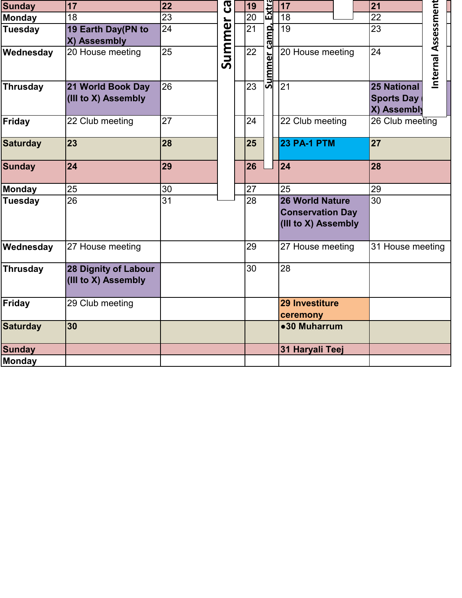| <b>Sunday</b>   | 17                                                 | 22              | ငွာ   |  | 19              | Extra           | 17                                                                |  |  | 21                                                     |                     |  |
|-----------------|----------------------------------------------------|-----------------|-------|--|-----------------|-----------------|-------------------------------------------------------------------|--|--|--------------------------------------------------------|---------------------|--|
| <b>Monday</b>   | 18                                                 | 23              |       |  | 20              |                 | 18                                                                |  |  | $\overline{22}$                                        |                     |  |
| <b>Tuesday</b>  | 19 Earth Day(PN to<br>X) Assesmbly                 | 24              | Summe |  | $\overline{21}$ | <u>er camp,</u> | $\overline{19}$                                                   |  |  | $\overline{23}$                                        |                     |  |
| Wednesday       | 20 House meeting                                   | 25              |       |  | $\overline{22}$ | <b>Summe</b>    | 20 House meeting                                                  |  |  | 24                                                     | Internal Assessment |  |
| <b>Thrusday</b> | 21 World Book Day<br>(III to X) Assembly           | 26              |       |  | 23              |                 | 21                                                                |  |  | <b>25 National</b><br><b>Sports Day</b><br>X) Assembly |                     |  |
| Friday          | 22 Club meeting                                    | 27              |       |  | 24              |                 | 22 Club meeting                                                   |  |  | 26 Club meeting                                        |                     |  |
| <b>Saturday</b> | 23                                                 | 28              |       |  | 25              |                 | <b>23 PA-1 PTM</b>                                                |  |  | 27                                                     |                     |  |
| <b>Sunday</b>   | 24                                                 | 29              |       |  | 26              |                 | 24                                                                |  |  | 28                                                     |                     |  |
| <b>Monday</b>   | 25                                                 | 30              |       |  | 27              |                 | 25                                                                |  |  | 29                                                     |                     |  |
| <b>Tuesday</b>  | $\overline{26}$                                    | $\overline{31}$ |       |  | $\overline{28}$ |                 | 26 World Nature<br><b>Conservation Day</b><br>(III to X) Assembly |  |  | $\overline{30}$                                        |                     |  |
| Wednesday       | 27 House meeting                                   |                 |       |  | 29              |                 | 27 House meeting                                                  |  |  | 31 House meeting                                       |                     |  |
| <b>Thrusday</b> | <b>28 Dignity of Labour</b><br>(III to X) Assembly |                 |       |  | 30              |                 | 28                                                                |  |  |                                                        |                     |  |
| <b>Friday</b>   | 29 Club meeting                                    |                 |       |  |                 |                 | 29 Investiture<br>ceremony                                        |  |  |                                                        |                     |  |
| <b>Saturday</b> | 30                                                 |                 |       |  |                 |                 | •30 Muharrum                                                      |  |  |                                                        |                     |  |
| <b>Sunday</b>   |                                                    |                 |       |  |                 |                 | 31 Haryali Teej                                                   |  |  |                                                        |                     |  |
| <b>Monday</b>   |                                                    |                 |       |  |                 |                 |                                                                   |  |  |                                                        |                     |  |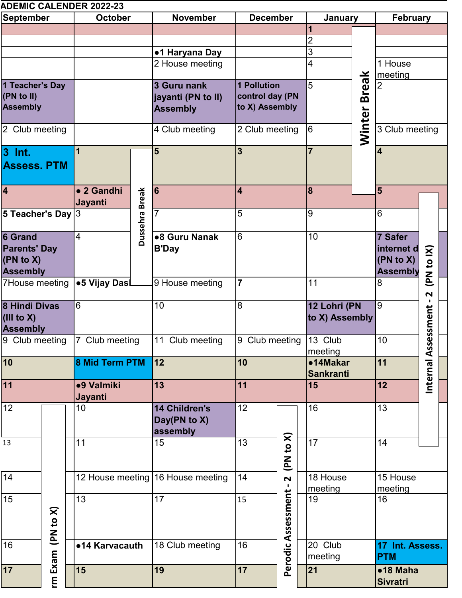|                      |   | <b>ADEMIC CALENDER 2022-23</b> |                |                                   |                               |           |                        |    |                              |                       |  |
|----------------------|---|--------------------------------|----------------|-----------------------------------|-------------------------------|-----------|------------------------|----|------------------------------|-----------------------|--|
| <b>September</b>     |   | <b>October</b>                 |                | <b>November</b>                   | <b>December</b>               |           | January                |    | <b>February</b>              |                       |  |
|                      |   |                                |                |                                   |                               |           | 1                      |    |                              |                       |  |
|                      |   |                                |                |                                   |                               |           | 2                      |    |                              |                       |  |
|                      |   |                                |                | ●1 Haryana Day                    |                               |           | 3                      |    |                              |                       |  |
|                      |   |                                |                | 2 House meeting                   |                               |           |                        | 4  |                              | 1 House               |  |
| 1 Teacher's Day      |   |                                |                | 3 Guru nank                       | <b>1 Pollution</b>            |           | <b>Break</b><br>5      |    | meeting<br>$\overline{2}$    |                       |  |
| (PN to II)           |   |                                |                | jayanti (PN to II)                | control day (PN               |           |                        |    |                              |                       |  |
| <b>Assembly</b>      |   |                                |                | <b>Assembly</b>                   | to X) Assembly                |           |                        |    |                              |                       |  |
|                      |   |                                |                |                                   |                               |           |                        |    |                              |                       |  |
| 2 Club meeting       |   |                                |                | 4 Club meeting                    | 2 Club meeting                |           | Winter<br>6            |    | 3 Club meeting               |                       |  |
|                      |   |                                |                |                                   |                               |           |                        |    |                              |                       |  |
| $3$ Int.             |   | 1                              |                | 5                                 | $\overline{3}$                |           | $\overline{7}$         |    | $\overline{\mathbf{4}}$      |                       |  |
| <b>Assess. PTM</b>   |   |                                |                |                                   |                               |           |                        |    |                              |                       |  |
|                      |   |                                |                |                                   |                               |           |                        |    |                              |                       |  |
| $\overline{4}$       |   | • 2 Gandhi                     |                | 16                                | $\overline{\mathbf{4}}$       |           | 8                      |    |                              |                       |  |
|                      |   | Jayanti                        | Dussehra Break |                                   |                               |           |                        |    |                              |                       |  |
| 5 Teacher's Day $3$  |   |                                |                | $\overline{7}$                    | 5                             |           | 9                      |    | 6                            |                       |  |
|                      |   |                                |                |                                   |                               |           |                        |    |                              |                       |  |
| 6 Grand              |   | $\overline{\mathcal{L}}$       |                | ●8 Guru Nanak                     | $6\overline{6}$               |           | 10                     |    | 7 Safer                      |                       |  |
| <b>Parents' Day</b>  |   |                                |                | <b>B'Day</b>                      |                               |           |                        |    | internet d                   |                       |  |
| $(PN \text{ to } X)$ |   |                                |                |                                   |                               |           |                        |    | (PN to X)<br><b>Assembly</b> |                       |  |
| <b>Assembly</b>      |   | ●5 Vijay DasL                  |                | 9 House meeting                   | 17                            |           | 11                     |    |                              | (PN to IX)            |  |
| 7House meeting       |   |                                |                |                                   |                               |           |                        |    | 8                            | $\mathbf{\mathsf{N}}$ |  |
| 8 Hindi Divas        |   | 6                              |                | 10                                | 8                             |           | 12 Lohri (PN           |    | l9                           |                       |  |
| (III to X)           |   |                                |                |                                   |                               |           | to X) Assembly         |    |                              |                       |  |
| <b>Assembly</b>      |   |                                |                |                                   |                               |           |                        |    |                              | essment               |  |
| 9 Club meeting       |   | 7 Club meeting                 |                | 11 Club meeting                   |                               |           | 9 Club meeting 13 Club |    | $10$                         |                       |  |
|                      |   |                                |                |                                   | 10                            |           | meeting<br>•14Makar    |    |                              |                       |  |
| 10                   |   | 8 Mid Term PTM                 |                | 12                                |                               |           | <b>Sankranti</b>       |    | 11                           |                       |  |
| 11                   |   | •9 Valmiki                     |                | 13                                | 11                            |           |                        | 15 |                              | Internal Ass          |  |
|                      |   | Jayanti                        |                |                                   |                               |           |                        |    | 12                           |                       |  |
| 12                   |   | 10                             |                | <b>14 Children's</b>              | 12 <sup>2</sup>               |           | 16                     |    | 13                           |                       |  |
|                      |   |                                |                | Day(PN to X)                      |                               |           |                        |    |                              |                       |  |
|                      |   |                                |                | assembly                          |                               |           |                        |    |                              |                       |  |
| 13                   |   | 11                             |                | 15                                | 13                            | (PN to X) | $\overline{17}$        |    | 14                           |                       |  |
|                      |   |                                |                |                                   |                               |           |                        |    |                              |                       |  |
|                      |   |                                |                |                                   |                               |           |                        |    |                              |                       |  |
| 14                   |   |                                |                | 12 House meeting 16 House meeting | 14<br>$\overline{\mathbf{N}}$ |           | 18 House               |    | 15 House                     |                       |  |
| 15                   |   | $\overline{13}$                |                | 17                                | 15                            |           | meeting<br>19          |    | meeting<br>16                |                       |  |
|                      |   |                                |                |                                   |                               |           |                        |    |                              |                       |  |
| (PN to X)            |   |                                |                |                                   |                               |           |                        |    |                              |                       |  |
|                      |   |                                |                |                                   |                               |           |                        |    |                              |                       |  |
| 16                   |   | •14 Karvacauth                 |                | 18 Club meeting                   | Perodic Assessment<br>16      |           | 20 Club                |    | 17 Int. Assess.              |                       |  |
| Exam                 |   |                                |                |                                   |                               |           | meeting                |    | <b>PTM</b>                   |                       |  |
| 17                   |   | 15                             |                | 19                                | 17                            |           | 21                     |    | •18 Maha                     |                       |  |
|                      | E |                                |                |                                   |                               |           |                        |    | Sivratri                     |                       |  |
|                      |   |                                |                |                                   |                               |           |                        |    |                              |                       |  |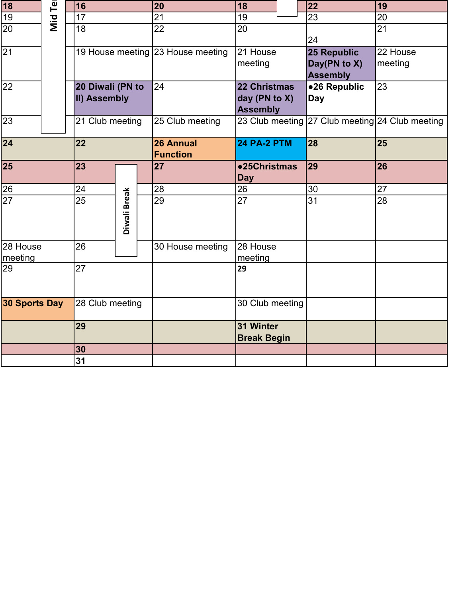| 18                               | 回          | 16               |                 | 20 | 18                                |                    | 22 | 19                                              |                 |
|----------------------------------|------------|------------------|-----------------|----|-----------------------------------|--------------------|----|-------------------------------------------------|-----------------|
| 19                               | <b>Mid</b> | 17               |                 |    | 21                                | 19                 |    | $\overline{23}$                                 | 20              |
| $\overline{20}$                  |            | 18               |                 |    | 22                                | 20                 |    |                                                 | $\overline{21}$ |
|                                  |            |                  |                 |    |                                   |                    |    | 24                                              |                 |
| $\overline{21}$                  |            |                  |                 |    | 19 House meeting 23 House meeting | 21 House           |    | 25 Republic                                     | 22 House        |
|                                  |            |                  |                 |    |                                   | meeting            |    | Day(PN to X)                                    | meeting         |
|                                  |            |                  |                 |    |                                   |                    |    | <b>Assembly</b>                                 |                 |
| 22                               |            | 20 Diwali (PN to |                 |    | 24                                | 22 Christmas       |    | ●26 Republic                                    | 23              |
|                                  |            | II) Assembly     |                 |    |                                   | day (PN to X)      |    | <b>Day</b>                                      |                 |
|                                  |            |                  |                 |    |                                   | <b>Assembly</b>    |    |                                                 |                 |
| $\overline{23}$                  |            | 21 Club meeting  |                 |    | 25 Club meeting                   |                    |    | 23 Club meeting 27 Club meeting 24 Club meeting |                 |
|                                  |            |                  |                 |    |                                   |                    |    |                                                 |                 |
| $\overline{24}$                  |            | 22               |                 |    | 26 Annual                         | <b>24 PA-2 PTM</b> |    | 28                                              | 25              |
|                                  |            |                  |                 |    | <b>Function</b>                   |                    |    |                                                 |                 |
| 25                               |            | 23               |                 |    | 27                                | •25Christmas       |    | 29                                              | 26              |
|                                  |            |                  |                 |    |                                   | <b>Day</b>         |    |                                                 |                 |
| 26                               |            | 24               |                 |    | 28                                | 26                 |    | 30                                              | 27              |
| $\overline{27}$                  |            | $\overline{25}$  | Diwali Break    |    | 29                                | $\overline{27}$    |    | $\overline{31}$                                 | $\overline{28}$ |
|                                  |            |                  |                 |    |                                   |                    |    |                                                 |                 |
|                                  |            |                  |                 |    |                                   |                    |    |                                                 |                 |
|                                  |            |                  |                 |    |                                   |                    |    |                                                 |                 |
| 28 House                         |            | $\overline{26}$  |                 |    | 30 House meeting                  | 28 House           |    |                                                 |                 |
| meeting                          |            |                  |                 |    |                                   | meeting            |    |                                                 |                 |
| 29                               |            | 27               |                 |    |                                   | 29                 |    |                                                 |                 |
|                                  |            |                  |                 |    |                                   |                    |    |                                                 |                 |
|                                  |            |                  |                 |    |                                   |                    |    |                                                 |                 |
| 30 Sports Day<br>28 Club meeting |            |                  | 30 Club meeting |    |                                   |                    |    |                                                 |                 |
|                                  |            |                  |                 |    |                                   |                    |    |                                                 |                 |
|                                  |            | 29               |                 |    |                                   | 31 Winter          |    |                                                 |                 |
|                                  |            |                  |                 |    |                                   | <b>Break Begin</b> |    |                                                 |                 |
|                                  |            | 30               |                 |    |                                   |                    |    |                                                 |                 |
|                                  |            | 31               |                 |    |                                   |                    |    |                                                 |                 |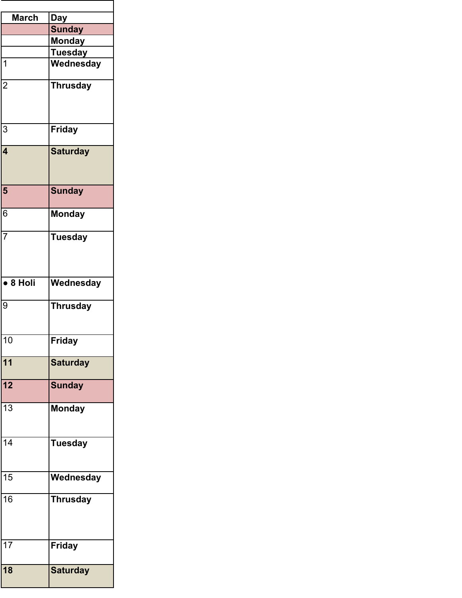| <b>March</b>                | <b>Day</b>      |
|-----------------------------|-----------------|
|                             | <b>Sunday</b>   |
|                             | <b>Monday</b>   |
|                             | <b>Tuesday</b>  |
| $\overline{1}$              | Wednesday       |
| $\overline{2}$              | <b>Thrusday</b> |
| 3                           | <b>Friday</b>   |
| $\overline{\mathbf{4}}$     | <b>Saturday</b> |
| 5                           | <b>Sunday</b>   |
| $\overline{6}$              | <b>Monday</b>   |
| $\overline{7}$              | <b>Tuesday</b>  |
| $\overline{\bullet}$ 8 Holi | Wednesday       |
| 9                           | <b>Thrusday</b> |
| 10                          | Friday          |
| 11                          | <b>Saturday</b> |
| 12                          | <b>Sunday</b>   |
| 13                          | <b>Monday</b>   |
| 14                          | <b>Tuesday</b>  |
| $\overline{15}$             | Wednesday       |
| 16                          | <b>Thrusday</b> |
| $\overline{17}$             | <b>Friday</b>   |
| 18                          | <b>Saturday</b> |